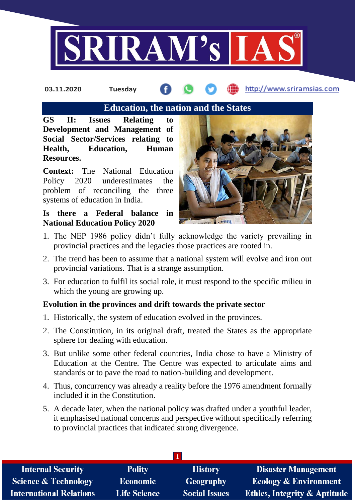

# **Education, the nation and the States**

**GS II: Issues Relating to Development and Management of Social Sector/Services relating to Health, Education, Human Resources.**

**Context:** The National Education Policy 2020 underestimates the problem of reconciling the three systems of education in India.

# **Is there a Federal balance in National Education Policy 2020**



- 1. The NEP 1986 policy didn't fully acknowledge the variety prevailing in provincial practices and the legacies those practices are rooted in.
- 2. The trend has been to assume that a national system will evolve and iron out provincial variations. That is a strange assumption.
- 3. For education to fulfil its social role, it must respond to the specific milieu in which the young are growing up.

# **Evolution in the provinces and drift towards the private sector**

- 1. Historically, the system of education evolved in the provinces.
- 2. The Constitution, in its original draft, treated the States as the appropriate sphere for dealing with education.
- 3. But unlike some other federal countries, India chose to have a Ministry of Education at the Centre. The Centre was expected to articulate aims and standards or to pave the road to nation-building and development.
- 4. Thus, concurrency was already a reality before the 1976 amendment formally included it in the Constitution.
- 5. A decade later, when the national policy was drafted under a youthful leader, it emphasised national concerns and perspective without specifically referring to provincial practices that indicated strong divergence.

| <b>Internal Security</b>        | <b>Polity</b>       | <b>History</b>       | <b>Disaster Management</b>              |
|---------------------------------|---------------------|----------------------|-----------------------------------------|
| <b>Science &amp; Technology</b> | <b>Economic</b>     | Geography            | <b>Ecology &amp; Environment</b>        |
| <b>International Relations</b>  | <b>Life Science</b> | <b>Social Issues</b> | <b>Ethics, Integrity &amp; Aptitude</b> |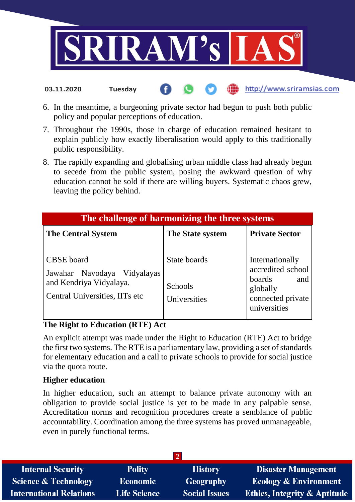

6. In the meantime, a burgeoning private sector had begun to push both public policy and popular perceptions of education.

http://www.sriramsias.com

- 7. Throughout the 1990s, those in charge of education remained hesitant to explain publicly how exactly liberalisation would apply to this traditionally public responsibility.
- 8. The rapidly expanding and globalising urban middle class had already begun to secede from the public system, posing the awkward question of why education cannot be sold if there are willing buyers. Systematic chaos grew, leaving the policy behind.

| The challenge of harmonizing the three systems                                                                |                                                |                                                                                                        |  |
|---------------------------------------------------------------------------------------------------------------|------------------------------------------------|--------------------------------------------------------------------------------------------------------|--|
| <b>The Central System</b>                                                                                     | The State system                               | <b>Private Sector</b>                                                                                  |  |
| <b>CBSE</b> board<br>Jawahar Navodaya Vidyalayas<br>and Kendriya Vidyalaya.<br>Central Universities, IITs etc | State boards<br><b>Schools</b><br>Universities | Internationally<br>accredited school<br>boards<br>and<br>globally<br>connected private<br>universities |  |

# **The Right to Education (RTE) Act**

**03.11.2020 Tuesday**

An explicit attempt was made under the Right to Education (RTE) Act to bridge the first two systems. The RTE is a parliamentary law, providing a set of standards for elementary education and a call to private schools to provide for social justice via the quota route.

# **Higher education**

In higher education, such an attempt to balance private autonomy with an obligation to provide social justice is yet to be made in any palpable sense. Accreditation norms and recognition procedures create a semblance of public accountability. Coordination among the three systems has proved unmanageable, even in purely functional terms.

| <b>Internal Security</b>       | <b>Polity</b>       | <b>History</b>       | <b>Disaster Management</b>              |
|--------------------------------|---------------------|----------------------|-----------------------------------------|
| Science & Technology           | <b>Economic</b>     | Geography            | <b>Ecology &amp; Environment</b>        |
| <b>International Relations</b> | <b>Life Science</b> | <b>Social Issues</b> | <b>Ethics, Integrity &amp; Aptitude</b> |
|                                |                     |                      |                                         |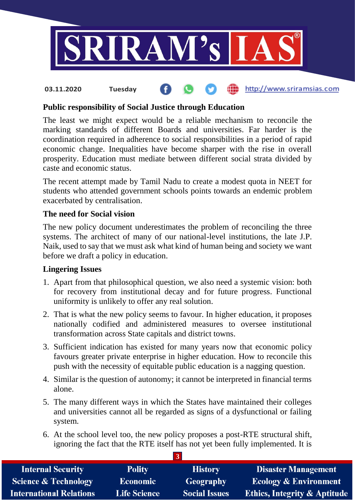

# **Public responsibility of Social Justice through Education**

The least we might expect would be a reliable mechanism to reconcile the marking standards of different Boards and universities. Far harder is the coordination required in adherence to social responsibilities in a period of rapid economic change. Inequalities have become sharper with the rise in overall prosperity. Education must mediate between different social strata divided by caste and economic status.

The recent attempt made by Tamil Nadu to create a modest quota in NEET for students who attended government schools points towards an endemic problem exacerbated by centralisation.

# **The need for Social vision**

The new policy document underestimates the problem of reconciling the three systems. The architect of many of our national-level institutions, the late J.P. Naik, used to say that we must ask what kind of human being and society we want before we draft a policy in education.

# **Lingering Issues**

- 1. Apart from that philosophical question, we also need a systemic vision: both for recovery from institutional decay and for future progress. Functional uniformity is unlikely to offer any real solution.
- 2. That is what the new policy seems to favour. In higher education, it proposes nationally codified and administered measures to oversee institutional transformation across State capitals and district towns.
- 3. Sufficient indication has existed for many years now that economic policy favours greater private enterprise in higher education. How to reconcile this push with the necessity of equitable public education is a nagging question.
- 4. Similar is the question of autonomy; it cannot be interpreted in financial terms alone.
- 5. The many different ways in which the States have maintained their colleges and universities cannot all be regarded as signs of a dysfunctional or failing system.
- 6. At the school level too, the new policy proposes a post-RTE structural shift, ignoring the fact that the RTE itself has not yet been fully implemented. It is

**3**

| <b>Internal Security</b>        | <b>Polity</b>       | <b>History</b>       | <b>Disaster Management</b>              |
|---------------------------------|---------------------|----------------------|-----------------------------------------|
| <b>Science &amp; Technology</b> | <b>Economic</b>     | <b>Geography</b>     | <b>Ecology &amp; Environment</b>        |
| <b>International Relations</b>  | <b>Life Science</b> | <b>Social Issues</b> | <b>Ethics, Integrity &amp; Aptitude</b> |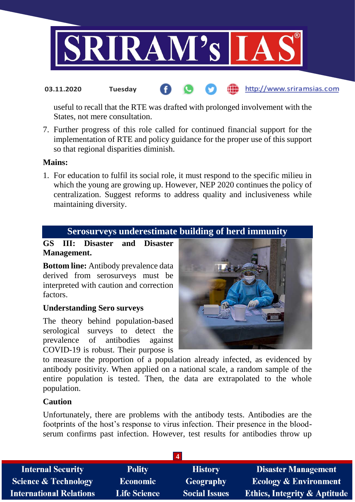

useful to recall that the RTE was drafted with prolonged involvement with the States, not mere consultation.

7. Further progress of this role called for continued financial support for the implementation of RTE and policy guidance for the proper use of this support so that regional disparities diminish.

# **Mains:**

1. For education to fulfil its social role, it must respond to the specific milieu in which the young are growing up. However, NEP 2020 continues the policy of centralization. Suggest reforms to address quality and inclusiveness while maintaining diversity.

# **Serosurveys underestimate building of herd immunity**

**GS III: Disaster and Disaster Management.**

**Bottom line:** Antibody prevalence data derived from serosurveys must be interpreted with caution and correction factors.

# **Understanding Sero surveys**

The theory behind population-based serological surveys to detect the prevalence of antibodies against COVID-19 is robust. Their purpose is



to measure the proportion of a population already infected, as evidenced by antibody positivity. When applied on a national scale, a random sample of the entire population is tested. Then, the data are extrapolated to the whole population.

# **Caution**

Unfortunately, there are problems with the antibody tests. Antibodies are the footprints of the host's response to virus infection. Their presence in the bloodserum confirms past infection. However, test results for antibodies throw up

| <b>Internal Security</b>        | <b>Polity</b>       | <b>History</b>       | <b>Disaster Management</b>              |
|---------------------------------|---------------------|----------------------|-----------------------------------------|
| <b>Science &amp; Technology</b> | Economic            | <b>Geography</b>     | <b>Ecology &amp; Environment</b>        |
| <b>International Relations</b>  | <b>Life Science</b> | <b>Social Issues</b> | <b>Ethics, Integrity &amp; Aptitude</b> |
|                                 |                     |                      |                                         |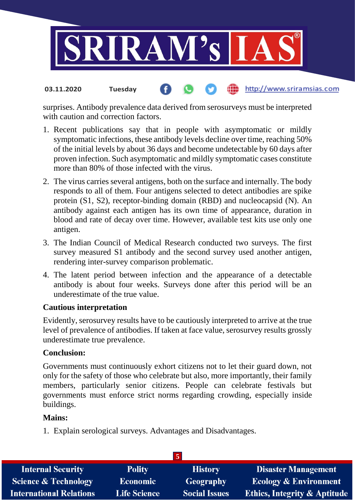

# surprises. Antibody prevalence data derived from serosurveys must be interpreted

- with caution and correction factors. 1. Recent publications say that in people with asymptomatic or mildly
- symptomatic infections, these antibody levels decline over time, reaching 50% of the initial levels by about 36 days and become undetectable by 60 days after proven infection. Such asymptomatic and mildly symptomatic cases constitute more than 80% of those infected with the virus.
- 2. The virus carries several antigens, both on the surface and internally. The body responds to all of them. Four antigens selected to detect antibodies are spike protein (S1, S2), receptor-binding domain (RBD) and nucleocapsid (N). An antibody against each antigen has its own time of appearance, duration in blood and rate of decay over time. However, available test kits use only one antigen.
- 3. The Indian Council of Medical Research conducted two surveys. The first survey measured S1 antibody and the second survey used another antigen, rendering inter-survey comparison problematic.
- 4. The latent period between infection and the appearance of a detectable antibody is about four weeks. Surveys done after this period will be an underestimate of the true value.

# **Cautious interpretation**

**03.11.2020 Tuesday**

Evidently, serosurvey results have to be cautiously interpreted to arrive at the true level of prevalence of antibodies. If taken at face value, serosurvey results grossly underestimate true prevalence.

# **Conclusion:**

Governments must continuously exhort citizens not to let their guard down, not only for the safety of those who celebrate but also, more importantly, their family members, particularly senior citizens. People can celebrate festivals but governments must enforce strict norms regarding crowding, especially inside buildings.

# **Mains:**

1. Explain serological surveys. Advantages and Disadvantages.

|                                 |                     | l 51                 |                                         |
|---------------------------------|---------------------|----------------------|-----------------------------------------|
| <b>Internal Security</b>        | <b>Polity</b>       | <b>History</b>       | <b>Disaster Management</b>              |
| <b>Science &amp; Technology</b> | <b>Economic</b>     | Geography            | <b>Ecology &amp; Environment</b>        |
| <b>International Relations</b>  | <b>Life Science</b> | <b>Social Issues</b> | <b>Ethics, Integrity &amp; Aptitude</b> |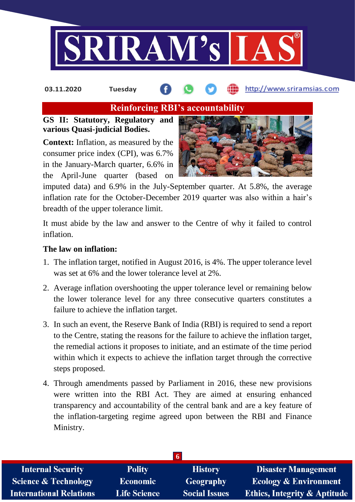

# **Reinforcing RBI's accountability**

# **GS II: Statutory, Regulatory and various Quasi-judicial Bodies.**

**Context:** Inflation, as measured by the consumer price index (CPI), was 6.7% in the January-March quarter, 6.6% in the April-June quarter (based on



imputed data) and 6.9% in the July-September quarter. At 5.8%, the average inflation rate for the October-December 2019 quarter was also within a hair's breadth of the upper tolerance limit.

It must abide by the law and answer to the Centre of why it failed to control inflation.

# **The law on inflation:**

- 1. The inflation target, notified in August 2016, is 4%. The upper tolerance level was set at 6% and the lower tolerance level at 2%.
- 2. Average inflation overshooting the upper tolerance level or remaining below the lower tolerance level for any three consecutive quarters constitutes a failure to achieve the inflation target.
- 3. In such an event, the Reserve Bank of India (RBI) is required to send a report to the Centre, stating the reasons for the failure to achieve the inflation target, the remedial actions it proposes to initiate, and an estimate of the time period within which it expects to achieve the inflation target through the corrective steps proposed.
- 4. Through amendments passed by Parliament in 2016, these new provisions were written into the RBI Act. They are aimed at ensuring enhanced transparency and accountability of the central bank and are a key feature of the inflation-targeting regime agreed upon between the RBI and Finance Ministry.

| <b>Internal Security</b>        | <b>Polity</b>       | <b>History</b>       | <b>Disaster Management</b>              |
|---------------------------------|---------------------|----------------------|-----------------------------------------|
| <b>Science &amp; Technology</b> | <b>Economic</b>     | Geography            | <b>Ecology &amp; Environment</b>        |
| <b>International Relations</b>  | <b>Life Science</b> | <b>Social Issues</b> | <b>Ethics, Integrity &amp; Aptitude</b> |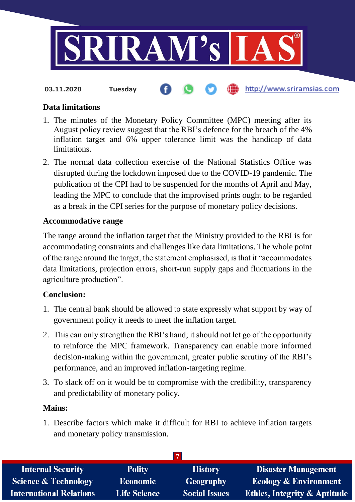

**03.11.2020 Tuesday**

# http://www.sriramsias.com

# **Data limitations**

- 1. The minutes of the Monetary Policy Committee (MPC) meeting after its August policy review suggest that the RBI's defence for the breach of the 4% inflation target and 6% upper tolerance limit was the handicap of data limitations.
- 2. The normal data collection exercise of the National Statistics Office was disrupted during the lockdown imposed due to the COVID-19 pandemic. The publication of the CPI had to be suspended for the months of April and May, leading the MPC to conclude that the improvised prints ought to be regarded as a break in the CPI series for the purpose of monetary policy decisions.

# **Accommodative range**

The range around the inflation target that the Ministry provided to the RBI is for accommodating constraints and challenges like data limitations. The whole point of the range around the target, the statement emphasised, is that it "accommodates data limitations, projection errors, short-run supply gaps and fluctuations in the agriculture production".

# **Conclusion:**

- 1. The central bank should be allowed to state expressly what support by way of government policy it needs to meet the inflation target.
- 2. This can only strengthen the RBI's hand; it should not let go of the opportunity to reinforce the MPC framework. Transparency can enable more informed decision-making within the government, greater public scrutiny of the RBI's performance, and an improved inflation-targeting regime.
- 3. To slack off on it would be to compromise with the credibility, transparency and predictability of monetary policy.

# **Mains:**

1. Describe factors which make it difficult for RBI to achieve inflation targets and monetary policy transmission.

| <b>Internal Security</b>        | <b>Polity</b>       | <b>History</b>       | <b>Disaster Management</b>              |
|---------------------------------|---------------------|----------------------|-----------------------------------------|
| <b>Science &amp; Technology</b> | <b>Economic</b>     | <b>Geography</b>     | <b>Ecology &amp; Environment</b>        |
| <b>International Relations</b>  | <b>Life Science</b> | <b>Social Issues</b> | <b>Ethics, Integrity &amp; Aptitude</b> |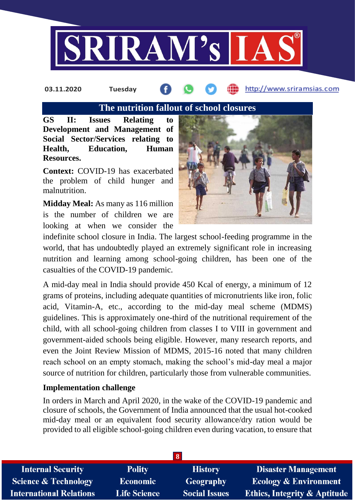

# **The nutrition fallout of school closures**

**GS II: Issues Relating to Development and Management of Social Sector/Services relating to Health, Education, Human Resources.**

**Context:** COVID-19 has exacerbated the problem of child hunger and malnutrition.

**Midday Meal:** As many as 116 million is the number of children we are looking at when we consider the



indefinite school closure in India. The largest school-feeding programme in the world, that has undoubtedly played an extremely significant role in increasing nutrition and learning among school-going children, has been one of the casualties of the COVID-19 pandemic.

A mid-day meal in India should provide 450 Kcal of energy, a minimum of 12 grams of proteins, including adequate quantities of micronutrients like iron, folic acid, Vitamin-A, etc., according to the mid-day meal scheme (MDMS) guidelines. This is approximately one-third of the nutritional requirement of the child, with all school-going children from classes I to VIII in government and government-aided schools being eligible. However, many research reports, and even the Joint Review Mission of MDMS, 2015-16 noted that many children reach school on an empty stomach, making the school's mid-day meal a major source of nutrition for children, particularly those from vulnerable communities.

## **Implementation challenge**

In orders in March and April 2020, in the wake of the COVID-19 pandemic and closure of schools, the Government of India announced that the usual hot-cooked mid-day meal or an equivalent food security allowance/dry ration would be provided to all eligible school-going children even during vacation, to ensure that

| 8                               |                     |                      |                                         |
|---------------------------------|---------------------|----------------------|-----------------------------------------|
| <b>Internal Security</b>        | <b>Polity</b>       | <b>History</b>       | <b>Disaster Management</b>              |
| <b>Science &amp; Technology</b> | <b>Economic</b>     | Geography            | <b>Ecology &amp; Environment</b>        |
| <b>International Relations</b>  | <b>Life Science</b> | <b>Social Issues</b> | <b>Ethics, Integrity &amp; Aptitude</b> |
|                                 |                     |                      |                                         |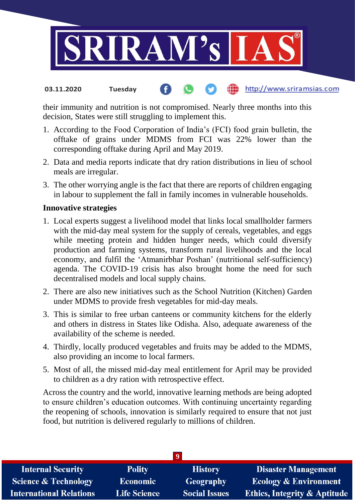

their immunity and nutrition is not compromised. Nearly three months into this decision, States were still struggling to implement this.

- 1. According to the Food Corporation of India's (FCI) food grain bulletin, the offtake of grains under MDMS from FCI was 22% lower than the corresponding offtake during April and May 2019.
- 2. Data and media reports indicate that dry ration distributions in lieu of school meals are irregular.
- 3. The other worrying angle is the fact that there are reports of children engaging in labour to supplement the fall in family incomes in vulnerable households.

# **Innovative strategies**

- 1. Local experts suggest a livelihood model that links local smallholder farmers with the mid-day meal system for the supply of cereals, vegetables, and eggs while meeting protein and hidden hunger needs, which could diversify production and farming systems, transform rural livelihoods and the local economy, and fulfil the 'Atmanirbhar Poshan' (nutritional self-sufficiency) agenda. The COVID-19 crisis has also brought home the need for such decentralised models and local supply chains.
- 2. There are also new initiatives such as the School Nutrition (Kitchen) Garden under MDMS to provide fresh vegetables for mid-day meals.
- 3. This is similar to free urban canteens or community kitchens for the elderly and others in distress in States like Odisha. Also, adequate awareness of the availability of the scheme is needed.
- 4. Thirdly, locally produced vegetables and fruits may be added to the MDMS, also providing an income to local farmers.
- 5. Most of all, the missed mid-day meal entitlement for April may be provided to children as a dry ration with retrospective effect.

Across the country and the world, innovative learning methods are being adopted to ensure children's education outcomes. With continuing uncertainty regarding the reopening of schools, innovation is similarly required to ensure that not just food, but nutrition is delivered regularly to millions of children.

| <b>Internal Security</b>        | <b>Polity</b>       | <b>History</b>       | <b>Disaster Management</b>              |
|---------------------------------|---------------------|----------------------|-----------------------------------------|
| <b>Science &amp; Technology</b> | Economic            | <b>Geography</b>     | <b>Ecology &amp; Environment</b>        |
| <b>International Relations</b>  | <b>Life Science</b> | <b>Social Issues</b> | <b>Ethics, Integrity &amp; Aptitude</b> |